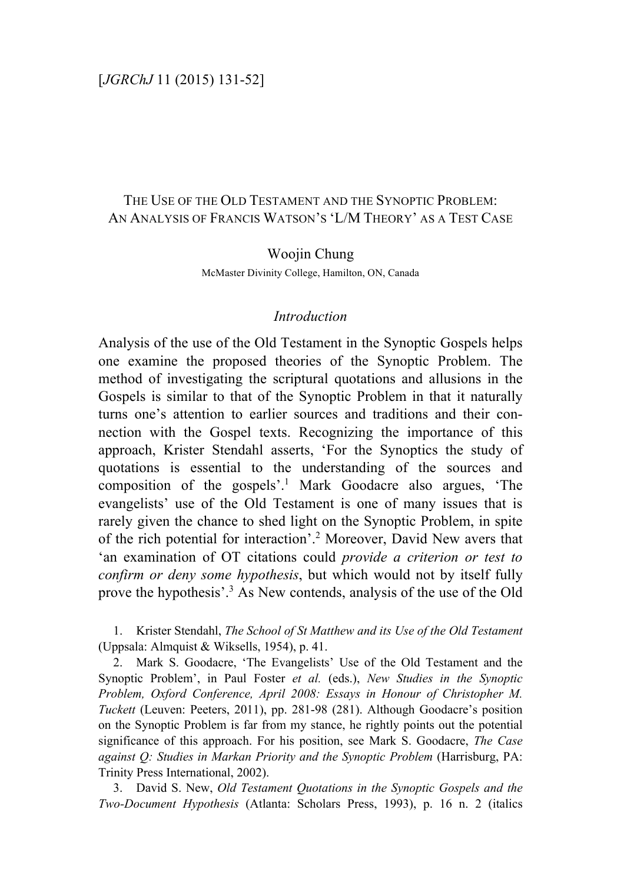## [*JGRChJ* 11 (2015) 131-52]

# THE USE OF THE OLD TESTAMENT AND THE SYNOPTIC PROBLEM: AN ANALYSIS OF FRANCIS WATSON'S 'L/M THEORY' AS A TEST CASE

Woojin Chung McMaster Divinity College, Hamilton, ON, Canada

### *Introduction*

Analysis of the use of the Old Testament in the Synoptic Gospels helps one examine the proposed theories of the Synoptic Problem. The method of investigating the scriptural quotations and allusions in the Gospels is similar to that of the Synoptic Problem in that it naturally turns one's attention to earlier sources and traditions and their connection with the Gospel texts. Recognizing the importance of this approach, Krister Stendahl asserts, 'For the Synoptics the study of quotations is essential to the understanding of the sources and composition of the gospels'. <sup>1</sup> Mark Goodacre also argues, 'The evangelists' use of the Old Testament is one of many issues that is rarely given the chance to shed light on the Synoptic Problem, in spite of the rich potential for interaction'. <sup>2</sup> Moreover, David New avers that 'an examination of OT citations could *provide a criterion or test to confirm or deny some hypothesis*, but which would not by itself fully prove the hypothesis'. <sup>3</sup> As New contends, analysis of the use of the Old

1. Krister Stendahl, *The School of St Matthew and its Use of the Old Testament* (Uppsala: Almquist & Wiksells, 1954), p. 41.

2. Mark S. Goodacre, 'The Evangelists' Use of the Old Testament and the Synoptic Problem', in Paul Foster *et al.* (eds.), *New Studies in the Synoptic Problem, Oxford Conference, April 2008: Essays in Honour of Christopher M. Tuckett* (Leuven: Peeters, 2011), pp. 281-98 (281). Although Goodacre's position on the Synoptic Problem is far from my stance, he rightly points out the potential significance of this approach. For his position, see Mark S. Goodacre, *The Case against Q: Studies in Markan Priority and the Synoptic Problem* (Harrisburg, PA: Trinity Press International, 2002).

3. David S. New, *Old Testament Quotations in the Synoptic Gospels and the Two-Document Hypothesis* (Atlanta: Scholars Press, 1993), p. 16 n. 2 (italics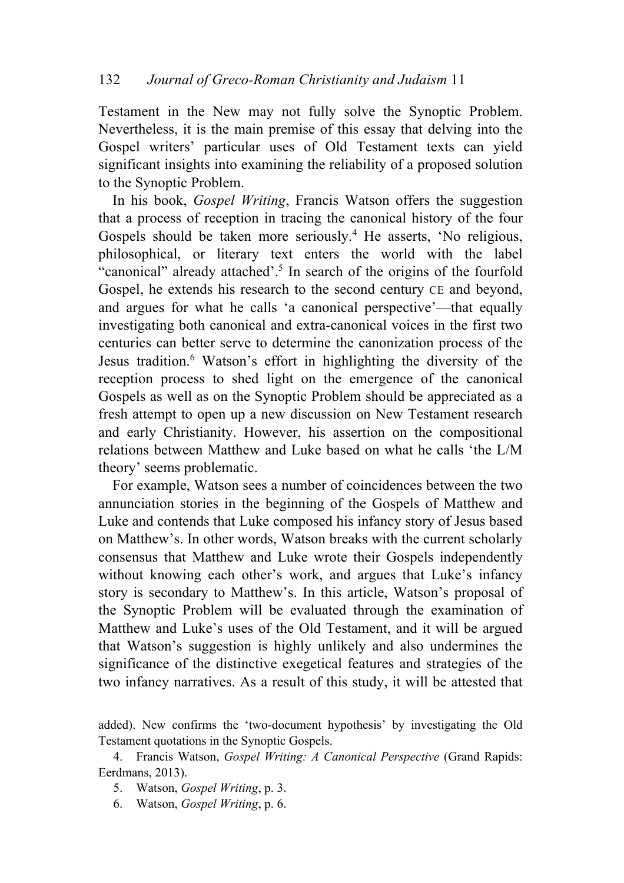Testament in the New may not fully solve the Synoptic Problem. Nevertheless, it is the main premise of this essay that delving into the Gospel writers' particular uses of Old Testament texts can yield significant insights into examining the reliability of a proposed solution to the Synoptic Problem.

In his book, *Gospel Writing*, Francis Watson offers the suggestion that a process of reception in tracing the canonical history of the four Gospels should be taken more seriously.<sup>4</sup> He asserts, 'No religious, philosophical, or literary text enters the world with the label "canonical" already attached'. <sup>5</sup> In search of the origins of the fourfold Gospel, he extends his research to the second century CE and beyond, and argues for what he calls 'a canonical perspective'—that equally investigating both canonical and extra-canonical voices in the first two centuries can better serve to determine the canonization process of the Jesus tradition.6 Watson's effort in highlighting the diversity of the reception process to shed light on the emergence of the canonical Gospels as well as on the Synoptic Problem should be appreciated as a fresh attempt to open up a new discussion on New Testament research and early Christianity. However, his assertion on the compositional relations between Matthew and Luke based on what he calls 'the L/M theory' seems problematic.

For example, Watson sees a number of coincidences between the two annunciation stories in the beginning of the Gospels of Matthew and Luke and contends that Luke composed his infancy story of Jesus based on Matthew's. In other words, Watson breaks with the current scholarly consensus that Matthew and Luke wrote their Gospels independently without knowing each other's work, and argues that Luke's infancy story is secondary to Matthew's. In this article, Watson's proposal of the Synoptic Problem will be evaluated through the examination of Matthew and Luke's uses of the Old Testament, and it will be argued that Watson's suggestion is highly unlikely and also undermines the significance of the distinctive exegetical features and strategies of the two infancy narratives. As a result of this study, it will be attested that

added). New confirms the 'two-document hypothesis' by investigating the Old Testament quotations in the Synoptic Gospels.

4. Francis Watson, *Gospel Writing: A Canonical Perspective* (Grand Rapids: Eerdmans, 2013).

5. Watson, *Gospel Writing*, p. 3.

6. Watson, *Gospel Writing*, p. 6.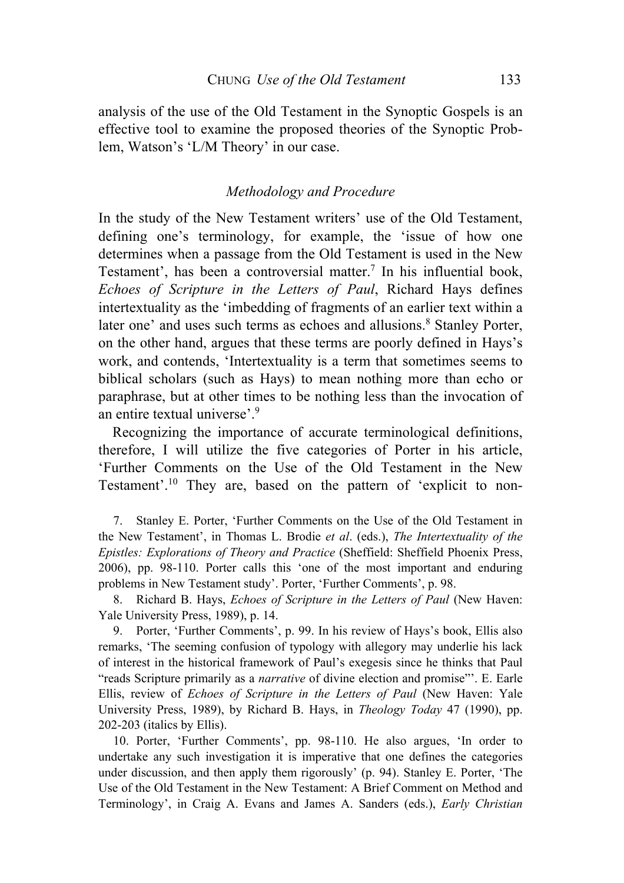analysis of the use of the Old Testament in the Synoptic Gospels is an effective tool to examine the proposed theories of the Synoptic Problem, Watson's 'L/M Theory' in our case.

## *Methodology and Procedure*

In the study of the New Testament writers' use of the Old Testament, defining one's terminology, for example, the 'issue of how one determines when a passage from the Old Testament is used in the New Testament', has been a controversial matter.<sup>7</sup> In his influential book, *Echoes of Scripture in the Letters of Paul*, Richard Hays defines intertextuality as the 'imbedding of fragments of an earlier text within a later one' and uses such terms as echoes and allusions.<sup>8</sup> Stanley Porter, on the other hand, argues that these terms are poorly defined in Hays's work, and contends, 'Intertextuality is a term that sometimes seems to biblical scholars (such as Hays) to mean nothing more than echo or paraphrase, but at other times to be nothing less than the invocation of an entire textual universe'. 9

Recognizing the importance of accurate terminological definitions, therefore, I will utilize the five categories of Porter in his article, 'Further Comments on the Use of the Old Testament in the New Testament'. <sup>10</sup> They are, based on the pattern of 'explicit to non-

7. Stanley E. Porter, 'Further Comments on the Use of the Old Testament in the New Testament', in Thomas L. Brodie *et al*. (eds.), *The Intertextuality of the Epistles: Explorations of Theory and Practice* (Sheffield: Sheffield Phoenix Press, 2006), pp. 98-110. Porter calls this 'one of the most important and enduring problems in New Testament study'. Porter, 'Further Comments', p. 98.

8. Richard B. Hays, *Echoes of Scripture in the Letters of Paul* (New Haven: Yale University Press, 1989), p. 14.

9. Porter, 'Further Comments', p. 99. In his review of Hays's book, Ellis also remarks, 'The seeming confusion of typology with allegory may underlie his lack of interest in the historical framework of Paul's exegesis since he thinks that Paul "reads Scripture primarily as a *narrative* of divine election and promise"'. E. Earle Ellis, review of *Echoes of Scripture in the Letters of Paul* (New Haven: Yale University Press, 1989), by Richard B. Hays, in *Theology Today* 47 (1990), pp. 202-203 (italics by Ellis).

10. Porter, 'Further Comments', pp. 98-110. He also argues, 'In order to undertake any such investigation it is imperative that one defines the categories under discussion, and then apply them rigorously' (p. 94). Stanley E. Porter, 'The Use of the Old Testament in the New Testament: A Brief Comment on Method and Terminology', in Craig A. Evans and James A. Sanders (eds.), *Early Christian*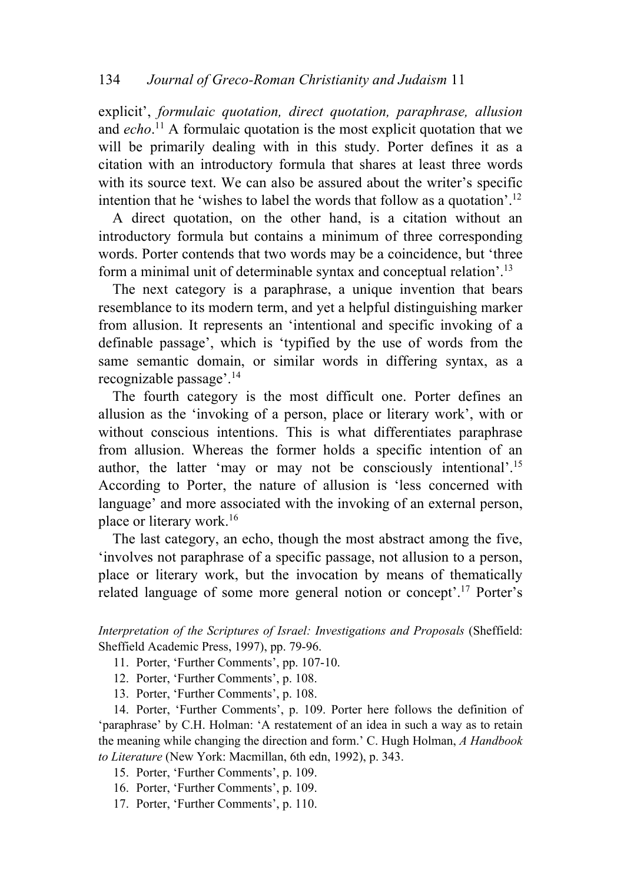explicit', *formulaic quotation, direct quotation, paraphrase, allusion* and *echo*. <sup>11</sup> A formulaic quotation is the most explicit quotation that we will be primarily dealing with in this study. Porter defines it as a citation with an introductory formula that shares at least three words with its source text. We can also be assured about the writer's specific intention that he 'wishes to label the words that follow as a quotation'. 12

A direct quotation, on the other hand, is a citation without an introductory formula but contains a minimum of three corresponding words. Porter contends that two words may be a coincidence, but 'three form a minimal unit of determinable syntax and conceptual relation'. 13

The next category is a paraphrase, a unique invention that bears resemblance to its modern term, and yet a helpful distinguishing marker from allusion. It represents an 'intentional and specific invoking of a definable passage', which is 'typified by the use of words from the same semantic domain, or similar words in differing syntax, as a recognizable passage'. 14

The fourth category is the most difficult one. Porter defines an allusion as the 'invoking of a person, place or literary work', with or without conscious intentions. This is what differentiates paraphrase from allusion. Whereas the former holds a specific intention of an author, the latter 'may or may not be consciously intentional'.<sup>15</sup> According to Porter, the nature of allusion is 'less concerned with language' and more associated with the invoking of an external person, place or literary work.16

The last category, an echo, though the most abstract among the five, 'involves not paraphrase of a specific passage, not allusion to a person, place or literary work, but the invocation by means of thematically related language of some more general notion or concept'.<sup>17</sup> Porter's

*Interpretation of the Scriptures of Israel: Investigations and Proposals* (Sheffield: Sheffield Academic Press, 1997), pp. 79-96.

- 11. Porter, 'Further Comments', pp. 107-10.
- 12. Porter, 'Further Comments', p. 108.
- 13. Porter, 'Further Comments', p. 108.

14. Porter, 'Further Comments', p. 109. Porter here follows the definition of 'paraphrase' by C.H. Holman: 'A restatement of an idea in such a way as to retain the meaning while changing the direction and form.' C. Hugh Holman, *A Handbook to Literature* (New York: Macmillan, 6th edn, 1992), p. 343.

- 15. Porter, 'Further Comments', p. 109.
- 16. Porter, 'Further Comments', p. 109.
- 17. Porter, 'Further Comments', p. 110.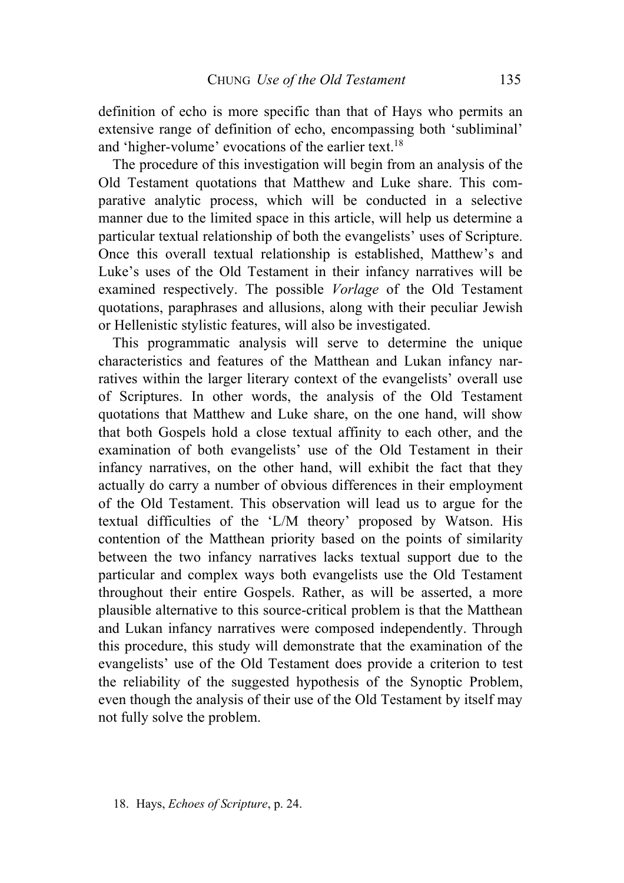definition of echo is more specific than that of Hays who permits an extensive range of definition of echo, encompassing both 'subliminal' and 'higher-volume' evocations of the earlier text.<sup>18</sup>

The procedure of this investigation will begin from an analysis of the Old Testament quotations that Matthew and Luke share. This comparative analytic process, which will be conducted in a selective manner due to the limited space in this article, will help us determine a particular textual relationship of both the evangelists' uses of Scripture. Once this overall textual relationship is established, Matthew's and Luke's uses of the Old Testament in their infancy narratives will be examined respectively. The possible *Vorlage* of the Old Testament quotations, paraphrases and allusions, along with their peculiar Jewish or Hellenistic stylistic features, will also be investigated.

This programmatic analysis will serve to determine the unique characteristics and features of the Matthean and Lukan infancy narratives within the larger literary context of the evangelists' overall use of Scriptures. In other words, the analysis of the Old Testament quotations that Matthew and Luke share, on the one hand, will show that both Gospels hold a close textual affinity to each other, and the examination of both evangelists' use of the Old Testament in their infancy narratives, on the other hand, will exhibit the fact that they actually do carry a number of obvious differences in their employment of the Old Testament. This observation will lead us to argue for the textual difficulties of the 'L/M theory' proposed by Watson. His contention of the Matthean priority based on the points of similarity between the two infancy narratives lacks textual support due to the particular and complex ways both evangelists use the Old Testament throughout their entire Gospels. Rather, as will be asserted, a more plausible alternative to this source-critical problem is that the Matthean and Lukan infancy narratives were composed independently. Through this procedure, this study will demonstrate that the examination of the evangelists' use of the Old Testament does provide a criterion to test the reliability of the suggested hypothesis of the Synoptic Problem, even though the analysis of their use of the Old Testament by itself may not fully solve the problem.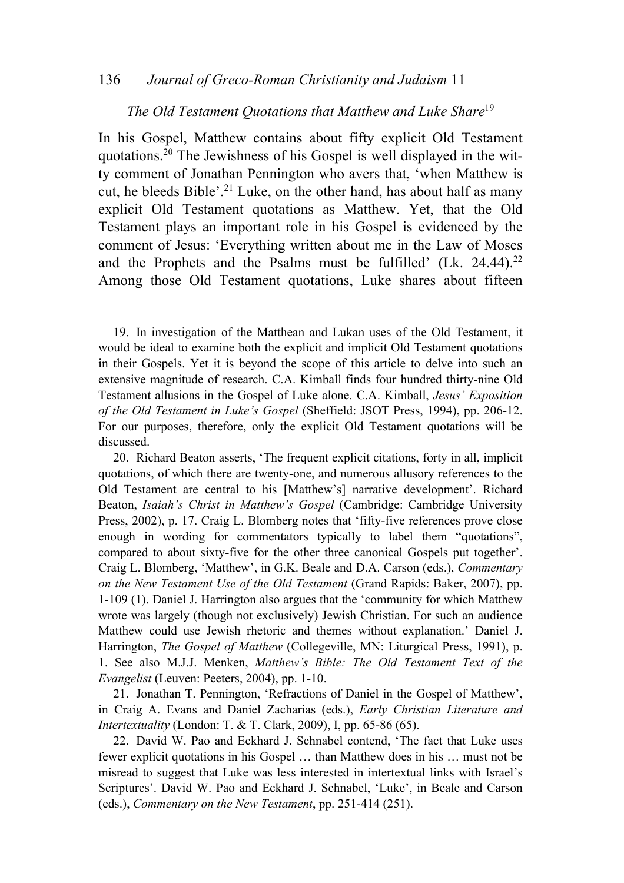#### 136 *Journal of Greco-Roman Christianity and Judaism* 11

## *The Old Testament Quotations that Matthew and Luke Share*<sup>19</sup>

In his Gospel, Matthew contains about fifty explicit Old Testament quotations.20 The Jewishness of his Gospel is well displayed in the witty comment of Jonathan Pennington who avers that, 'when Matthew is cut, he bleeds Bible'. <sup>21</sup> Luke, on the other hand, has about half as many explicit Old Testament quotations as Matthew. Yet, that the Old Testament plays an important role in his Gospel is evidenced by the comment of Jesus: 'Everything written about me in the Law of Moses and the Prophets and the Psalms must be fulfilled'  $(Lk. 24.44).^{22}$ Among those Old Testament quotations, Luke shares about fifteen

19. In investigation of the Matthean and Lukan uses of the Old Testament, it would be ideal to examine both the explicit and implicit Old Testament quotations in their Gospels. Yet it is beyond the scope of this article to delve into such an extensive magnitude of research. C.A. Kimball finds four hundred thirty-nine Old Testament allusions in the Gospel of Luke alone. C.A. Kimball, *Jesus' Exposition of the Old Testament in Luke's Gospel* (Sheffield: JSOT Press, 1994), pp. 206-12. For our purposes, therefore, only the explicit Old Testament quotations will be discussed.

20. Richard Beaton asserts, 'The frequent explicit citations, forty in all, implicit quotations, of which there are twenty-one, and numerous allusory references to the Old Testament are central to his [Matthew's] narrative development'. Richard Beaton, *Isaiah's Christ in Matthew's Gospel* (Cambridge: Cambridge University Press, 2002), p. 17. Craig L. Blomberg notes that 'fifty-five references prove close enough in wording for commentators typically to label them "quotations", compared to about sixty-five for the other three canonical Gospels put together'. Craig L. Blomberg, 'Matthew', in G.K. Beale and D.A. Carson (eds.), *Commentary on the New Testament Use of the Old Testament* (Grand Rapids: Baker, 2007), pp. 1-109 (1). Daniel J. Harrington also argues that the 'community for which Matthew wrote was largely (though not exclusively) Jewish Christian. For such an audience Matthew could use Jewish rhetoric and themes without explanation.' Daniel J. Harrington, *The Gospel of Matthew* (Collegeville, MN: Liturgical Press, 1991), p. 1. See also M.J.J. Menken, *Matthew's Bible: The Old Testament Text of the Evangelist* (Leuven: Peeters, 2004), pp. 1-10.

21. Jonathan T. Pennington, 'Refractions of Daniel in the Gospel of Matthew', in Craig A. Evans and Daniel Zacharias (eds.), *Early Christian Literature and Intertextuality* (London: T. & T. Clark, 2009), I, pp. 65-86 (65).

22. David W. Pao and Eckhard J. Schnabel contend, 'The fact that Luke uses fewer explicit quotations in his Gospel … than Matthew does in his … must not be misread to suggest that Luke was less interested in intertextual links with Israel's Scriptures'. David W. Pao and Eckhard J. Schnabel, 'Luke', in Beale and Carson (eds.), *Commentary on the New Testament*, pp. 251-414 (251).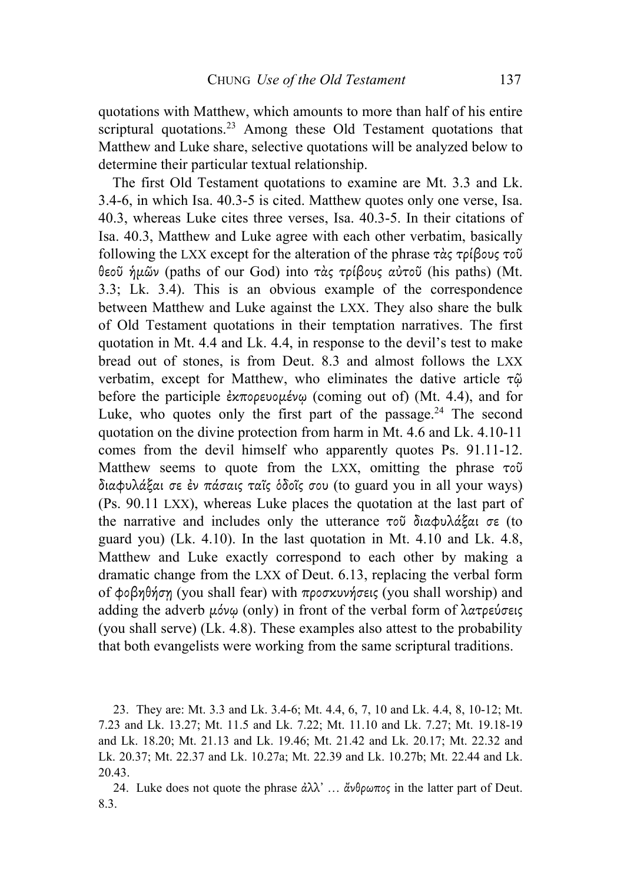quotations with Matthew, which amounts to more than half of his entire scriptural quotations.<sup>23</sup> Among these Old Testament quotations that Matthew and Luke share, selective quotations will be analyzed below to determine their particular textual relationship.

The first Old Testament quotations to examine are Mt. 3.3 and Lk. 3.4-6, in which Isa. 40.3-5 is cited. Matthew quotes only one verse, Isa. 40.3, whereas Luke cites three verses, Isa. 40.3-5. In their citations of Isa. 40.3, Matthew and Luke agree with each other verbatim, basically following the LXX except for the alteration of the phrase τὰς τρίβους τοῦ θεοῦ ἡµῶν (paths of our God) into τὰς τρίβους αὐτοῦ (his paths) (Mt. 3.3; Lk. 3.4). This is an obvious example of the correspondence between Matthew and Luke against the LXX. They also share the bulk of Old Testament quotations in their temptation narratives. The first quotation in Mt. 4.4 and Lk. 4.4, in response to the devil's test to make bread out of stones, is from Deut. 8.3 and almost follows the LXX verbatim, except for Matthew, who eliminates the dative article τῷ before the participle  $\epsilon \times \pi$ ορευομένω (coming out of) (Mt. 4.4), and for Luke, who quotes only the first part of the passage.<sup>24</sup> The second quotation on the divine protection from harm in Mt. 4.6 and Lk. 4.10-11 comes from the devil himself who apparently quotes Ps. 91.11-12. Matthew seems to quote from the LXX, omitting the phrase τοῦ διαφυλάξαι σε ἐν πάσαις ταῖς ὁδοῖς σου (to guard you in all your ways) (Ps. 90.11 LXX), whereas Luke places the quotation at the last part of the narrative and includes only the utterance τοῦ διαφυλάξαι σε (to guard you) (Lk. 4.10). In the last quotation in Mt. 4.10 and Lk. 4.8, Matthew and Luke exactly correspond to each other by making a dramatic change from the LXX of Deut. 6.13, replacing the verbal form of φοβηθήσῃ (you shall fear) with προσκυνήσεις (you shall worship) and adding the adverb µόνῳ (only) in front of the verbal form of λατρεύσεις (you shall serve) (Lk. 4.8). These examples also attest to the probability that both evangelists were working from the same scriptural traditions.

<sup>23.</sup> They are: Mt. 3.3 and Lk. 3.4-6; Mt. 4.4, 6, 7, 10 and Lk. 4.4, 8, 10-12; Mt. 7.23 and Lk. 13.27; Mt. 11.5 and Lk. 7.22; Mt. 11.10 and Lk. 7.27; Mt. 19.18-19 and Lk. 18.20; Mt. 21.13 and Lk. 19.46; Mt. 21.42 and Lk. 20.17; Mt. 22.32 and Lk. 20.37; Mt. 22.37 and Lk. 10.27a; Mt. 22.39 and Lk. 10.27b; Mt. 22.44 and Lk. 20.43.

<sup>24.</sup> Luke does not quote the phrase ἀλλ᾽ … ἄνθρωπος in the latter part of Deut. 8.3.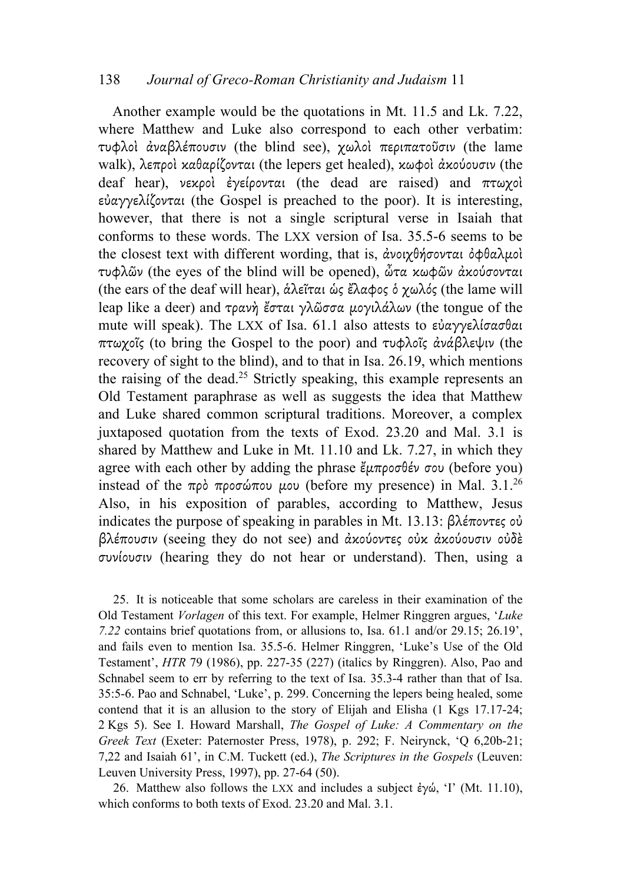### 138 *Journal of Greco-Roman Christianity and Judaism* 11

Another example would be the quotations in Mt. 11.5 and Lk. 7.22, where Matthew and Luke also correspond to each other verbatim: τυφλοὶ ἀναβλέπουσιν (the blind see), χωλοὶ περιπατοῦσιν (the lame walk), λεπροὶ καθαρίζονται (the lepers get healed), κωφοὶ ἀκούουσιν (the deaf hear), νεκροὶ ἐγείρονται (the dead are raised) and πτωχοὶ εὐαγγελίζονται (the Gospel is preached to the poor). It is interesting, however, that there is not a single scriptural verse in Isaiah that conforms to these words. The LXX version of Isa. 35.5-6 seems to be the closest text with different wording, that is, ἀνοιχθήσονται ὀφθαλµοὶ τυφλῶν (the eyes of the blind will be opened), ὦτα κωφῶν ἀκούσονται (the ears of the deaf will hear), ἁλεῖται ὡς ἔλαφος ὁ χωλός (the lame will leap like a deer) and τρανὴ ἔσται γλῶσσα µογιλάλων (the tongue of the mute will speak). The LXX of Isa. 61.1 also attests to εὐαγγελίσασθαι πτωχοῖς (to bring the Gospel to the poor) and τυφλοῖς ἀνάβλεψιν (the recovery of sight to the blind), and to that in Isa. 26.19, which mentions the raising of the dead.<sup>25</sup> Strictly speaking, this example represents an Old Testament paraphrase as well as suggests the idea that Matthew and Luke shared common scriptural traditions. Moreover, a complex juxtaposed quotation from the texts of Exod. 23.20 and Mal. 3.1 is shared by Matthew and Luke in Mt. 11.10 and Lk. 7.27, in which they agree with each other by adding the phrase  $\ell_{\mu}$ προσθέν σου (before you) instead of the πρὸ προσώπου μου (before my presence) in Mal. 3.1.<sup>26</sup> Also, in his exposition of parables, according to Matthew, Jesus indicates the purpose of speaking in parables in Mt. 13.13: βλέποντες ού βλέπουσιν (seeing they do not see) and ἀκούοντες οὐκ ἀκούουσιν οὐδὲ συνίουσιν (hearing they do not hear or understand). Then, using a

25. It is noticeable that some scholars are careless in their examination of the Old Testament *Vorlagen* of this text. For example, Helmer Ringgren argues, '*Luke 7.22* contains brief quotations from, or allusions to, Isa. 61.1 and/or 29.15; 26.19', and fails even to mention Isa. 35.5-6. Helmer Ringgren, 'Luke's Use of the Old Testament', *HTR* 79 (1986), pp. 227-35 (227) (italics by Ringgren). Also, Pao and Schnabel seem to err by referring to the text of Isa. 35.3-4 rather than that of Isa. 35:5-6. Pao and Schnabel, 'Luke', p. 299. Concerning the lepers being healed, some contend that it is an allusion to the story of Elijah and Elisha (1 Kgs 17.17-24; 2 Kgs 5). See I. Howard Marshall, *The Gospel of Luke: A Commentary on the Greek Text* (Exeter: Paternoster Press, 1978), p. 292; F. Neirynck, 'Q 6,20b-21; 7,22 and Isaiah 61', in C.M. Tuckett (ed.), *The Scriptures in the Gospels* (Leuven: Leuven University Press, 1997), pp. 27-64 (50).

26. Matthew also follows the LXX and includes a subject  $\dot{\epsilon} \gamma \dot{\omega}$ , 'I' (Mt. 11.10), which conforms to both texts of Exod. 23.20 and Mal. 3.1.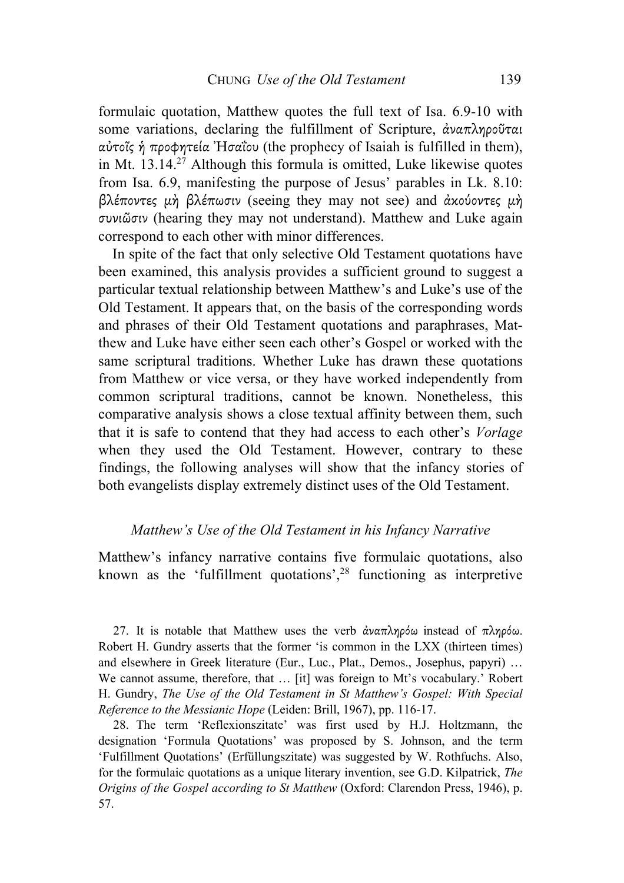formulaic quotation, Matthew quotes the full text of Isa. 6.9-10 with some variations, declaring the fulfillment of Scripture, ἀναπληροῦται αὐτοῖς ἡ προφητεία Ἠσαΐου (the prophecy of Isaiah is fulfilled in them), in Mt.  $13.14<sup>27</sup>$  Although this formula is omitted, Luke likewise quotes from Isa. 6.9, manifesting the purpose of Jesus' parables in Lk. 8.10: βλέποντες µὴ βλέπωσιν (seeing they may not see) and ἀκούοντες µὴ συνιῶσιν (hearing they may not understand). Matthew and Luke again correspond to each other with minor differences.

In spite of the fact that only selective Old Testament quotations have been examined, this analysis provides a sufficient ground to suggest a particular textual relationship between Matthew's and Luke's use of the Old Testament. It appears that, on the basis of the corresponding words and phrases of their Old Testament quotations and paraphrases, Matthew and Luke have either seen each other's Gospel or worked with the same scriptural traditions. Whether Luke has drawn these quotations from Matthew or vice versa, or they have worked independently from common scriptural traditions, cannot be known. Nonetheless, this comparative analysis shows a close textual affinity between them, such that it is safe to contend that they had access to each other's *Vorlage* when they used the Old Testament. However, contrary to these findings, the following analyses will show that the infancy stories of both evangelists display extremely distinct uses of the Old Testament.

#### *Matthew's Use of the Old Testament in his Infancy Narrative*

Matthew's infancy narrative contains five formulaic quotations, also known as the 'fulfillment quotations', <sup>28</sup> functioning as interpretive

27. It is notable that Matthew uses the verb άναπληρόω instead of πληρόω. Robert H. Gundry asserts that the former 'is common in the LXX (thirteen times) and elsewhere in Greek literature (Eur., Luc., Plat., Demos., Josephus, papyri) … We cannot assume, therefore, that ... [it] was foreign to Mt's vocabulary.' Robert H. Gundry, *The Use of the Old Testament in St Matthew's Gospel: With Special Reference to the Messianic Hope* (Leiden: Brill, 1967), pp. 116-17.

28. The term 'Reflexionszitate' was first used by H.J. Holtzmann, the designation 'Formula Quotations' was proposed by S. Johnson, and the term 'Fulfillment Quotations' (Erfüllungszitate) was suggested by W. Rothfuchs. Also, for the formulaic quotations as a unique literary invention, see G.D. Kilpatrick, *The Origins of the Gospel according to St Matthew* (Oxford: Clarendon Press, 1946), p. 57.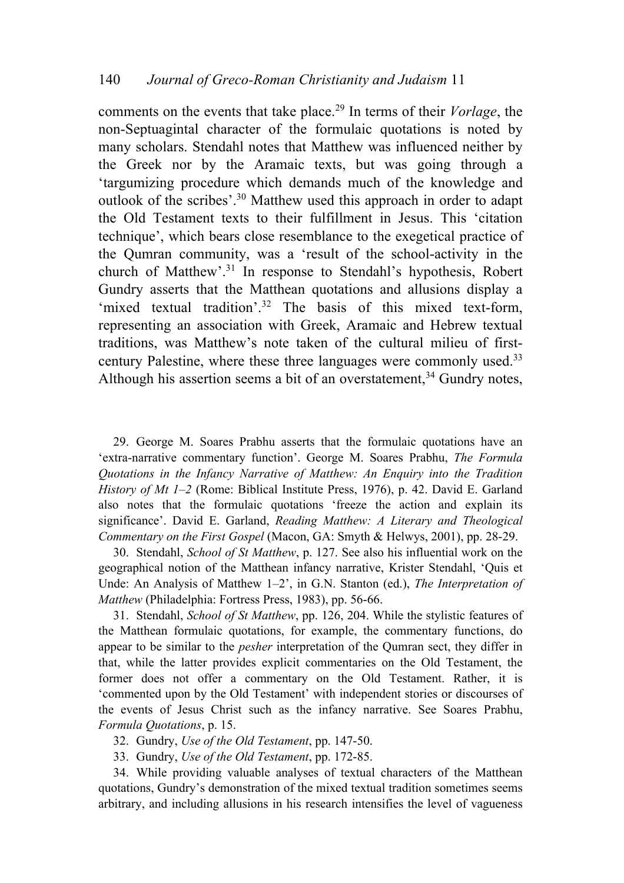comments on the events that take place.29 In terms of their *Vorlage*, the non-Septuagintal character of the formulaic quotations is noted by many scholars. Stendahl notes that Matthew was influenced neither by the Greek nor by the Aramaic texts, but was going through a 'targumizing procedure which demands much of the knowledge and outlook of the scribes'. <sup>30</sup> Matthew used this approach in order to adapt the Old Testament texts to their fulfillment in Jesus. This 'citation technique', which bears close resemblance to the exegetical practice of the Qumran community, was a 'result of the school-activity in the church of Matthew'. <sup>31</sup> In response to Stendahl's hypothesis, Robert Gundry asserts that the Matthean quotations and allusions display a 'mixed textual tradition'.<sup>32</sup> The basis of this mixed text-form, representing an association with Greek, Aramaic and Hebrew textual traditions, was Matthew's note taken of the cultural milieu of firstcentury Palestine, where these three languages were commonly used.33 Although his assertion seems a bit of an overstatement,  $34$  Gundry notes,

29. George M. Soares Prabhu asserts that the formulaic quotations have an 'extra-narrative commentary function'. George M. Soares Prabhu, *The Formula Quotations in the Infancy Narrative of Matthew: An Enquiry into the Tradition History of Mt 1–2* (Rome: Biblical Institute Press, 1976), p. 42. David E. Garland also notes that the formulaic quotations 'freeze the action and explain its significance'. David E. Garland, *Reading Matthew: A Literary and Theological Commentary on the First Gospel* (Macon, GA: Smyth & Helwys, 2001), pp. 28-29.

30. Stendahl, *School of St Matthew*, p. 127. See also his influential work on the geographical notion of the Matthean infancy narrative, Krister Stendahl, 'Quis et Unde: An Analysis of Matthew 1–2', in G.N. Stanton (ed.), *The Interpretation of Matthew* (Philadelphia: Fortress Press, 1983), pp. 56-66.

31. Stendahl, *School of St Matthew*, pp. 126, 204. While the stylistic features of the Matthean formulaic quotations, for example, the commentary functions, do appear to be similar to the *pesher* interpretation of the Qumran sect, they differ in that, while the latter provides explicit commentaries on the Old Testament, the former does not offer a commentary on the Old Testament. Rather, it is 'commented upon by the Old Testament' with independent stories or discourses of the events of Jesus Christ such as the infancy narrative. See Soares Prabhu, *Formula Quotations*, p. 15.

- 32. Gundry, *Use of the Old Testament*, pp. 147-50.
- 33. Gundry, *Use of the Old Testament*, pp. 172-85.

34. While providing valuable analyses of textual characters of the Matthean quotations, Gundry's demonstration of the mixed textual tradition sometimes seems arbitrary, and including allusions in his research intensifies the level of vagueness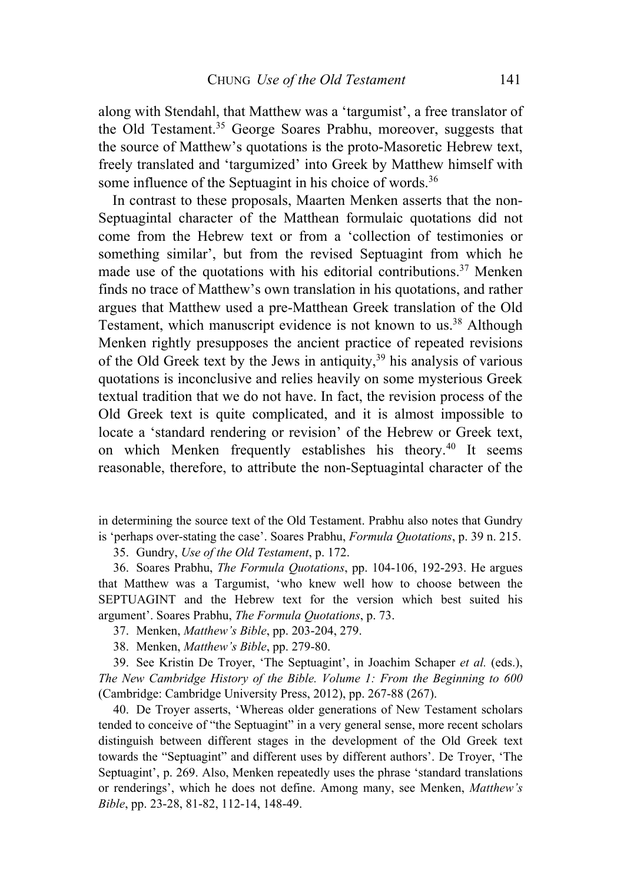along with Stendahl, that Matthew was a 'targumist', a free translator of the Old Testament.35 George Soares Prabhu, moreover, suggests that the source of Matthew's quotations is the proto-Masoretic Hebrew text, freely translated and 'targumized' into Greek by Matthew himself with some influence of the Septuagint in his choice of words.<sup>36</sup>

In contrast to these proposals, Maarten Menken asserts that the non-Septuagintal character of the Matthean formulaic quotations did not come from the Hebrew text or from a 'collection of testimonies or something similar', but from the revised Septuagint from which he made use of the quotations with his editorial contributions.<sup>37</sup> Menken finds no trace of Matthew's own translation in his quotations, and rather argues that Matthew used a pre-Matthean Greek translation of the Old Testament, which manuscript evidence is not known to us.<sup>38</sup> Although Menken rightly presupposes the ancient practice of repeated revisions of the Old Greek text by the Jews in antiquity,<sup>39</sup> his analysis of various quotations is inconclusive and relies heavily on some mysterious Greek textual tradition that we do not have. In fact, the revision process of the Old Greek text is quite complicated, and it is almost impossible to locate a 'standard rendering or revision' of the Hebrew or Greek text, on which Menken frequently establishes his theory.<sup>40</sup> It seems reasonable, therefore, to attribute the non-Septuagintal character of the

in determining the source text of the Old Testament. Prabhu also notes that Gundry is 'perhaps over-stating the case'. Soares Prabhu, *Formula Quotations*, p. 39 n. 215.

35. Gundry, *Use of the Old Testament*, p. 172.

36. Soares Prabhu, *The Formula Quotations*, pp. 104-106, 192-293. He argues that Matthew was a Targumist, 'who knew well how to choose between the SEPTUAGINT and the Hebrew text for the version which best suited his argument'. Soares Prabhu, *The Formula Quotations*, p. 73.

37. Menken, *Matthew's Bible*, pp. 203-204, 279.

38. Menken, *Matthew's Bible*, pp. 279-80.

39. See Kristin De Troyer, 'The Septuagint', in Joachim Schaper *et al.* (eds.), *The New Cambridge History of the Bible. Volume 1: From the Beginning to 600* (Cambridge: Cambridge University Press, 2012), pp. 267-88 (267).

40. De Troyer asserts, 'Whereas older generations of New Testament scholars tended to conceive of "the Septuagint" in a very general sense, more recent scholars distinguish between different stages in the development of the Old Greek text towards the "Septuagint" and different uses by different authors'. De Troyer, 'The Septuagint', p. 269. Also, Menken repeatedly uses the phrase 'standard translations or renderings', which he does not define. Among many, see Menken, *Matthew's Bible*, pp. 23-28, 81-82, 112-14, 148-49.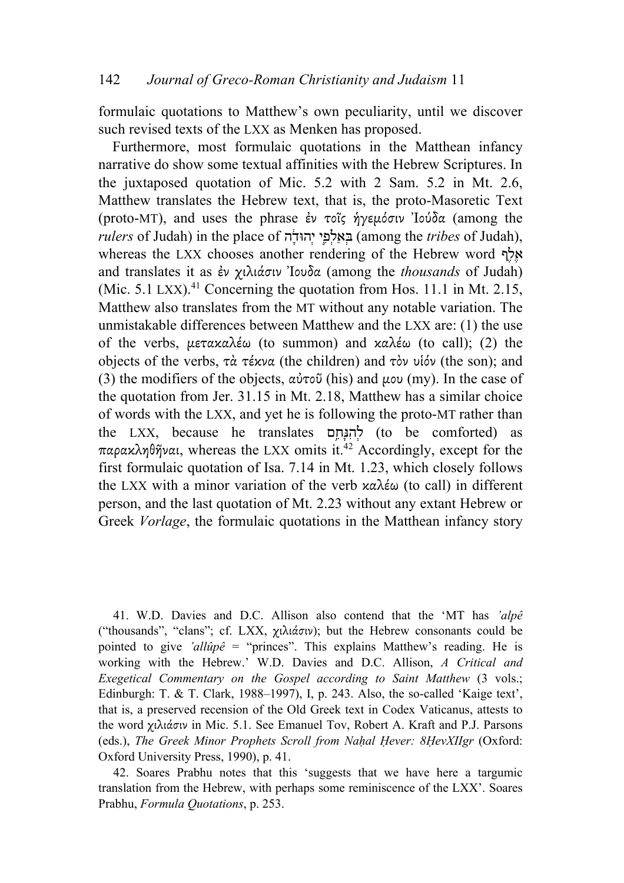formulaic quotations to Matthew's own peculiarity, until we discover such revised texts of the LXX as Menken has proposed.

Furthermore, most formulaic quotations in the Matthean infancy narrative do show some textual affinities with the Hebrew Scriptures. In the juxtaposed quotation of Mic. 5.2 with 2 Sam. 5.2 in Mt. 2.6, Matthew translates the Hebrew text, that is, the proto-Masoretic Text (proto-MT), and uses the phrase ἐν τοῖς ἡγεµόσιν Ἰούδα (among the *rulers* of Judah) in the place of הָ֔הוּד ְי י֣ ֵפ ְל ַא ְבּ) among the *tribes* of Judah), whereas the LXX chooses another rendering of the Hebrew word  $\boldsymbol{\kappa}$ and translates it as ἐν χιλιάσιν Ἰουδα (among the *thousands* of Judah) (Mic.  $5.1$  LXX).<sup>41</sup> Concerning the quotation from Hos. 11.1 in Mt. 2.15, Matthew also translates from the MT without any notable variation. The unmistakable differences between Matthew and the LXX are: (1) the use of the verbs, µετακαλέω (to summon) and καλέω (to call); (2) the objects of the verbs, τὰ τέκνα (the children) and τὸν υἱόν (the son); and (3) the modifiers of the objects,  $\alpha \dot{\nu} \tau \circ \ddot{\nu}$  (his) and  $\mu \circ \nu$  (my). In the case of the quotation from Jer. 31.15 in Mt. 2.18, Matthew has a similar choice of words with the LXX, and yet he is following the proto-MT rather than the LXX, because he translates לְחִנְּחָם (to be comforted) as παρακληθῆναι, whereas the LXX omits it.42 Accordingly, except for the first formulaic quotation of Isa. 7.14 in Mt. 1.23, which closely follows the LXX with a minor variation of the verb καλέω (to call) in different person, and the last quotation of Mt. 2.23 without any extant Hebrew or Greek *Vorlage*, the formulaic quotations in the Matthean infancy story

41. W.D. Davies and D.C. Allison also contend that the 'MT has *'alpê* ("thousands", "clans"; cf. LXX, χιλιάσιν); but the Hebrew consonants could be pointed to give *'allûpê* = "princes". This explains Matthew's reading. He is working with the Hebrew.' W.D. Davies and D.C. Allison, *A Critical and Exegetical Commentary on the Gospel according to Saint Matthew* (3 vols.; Edinburgh: T. & T. Clark, 1988–1997), I, p. 243. Also, the so-called 'Kaige text', that is, a preserved recension of the Old Greek text in Codex Vaticanus, attests to the word χιλιάσιν in Mic. 5.1. See Emanuel Tov, Robert A. Kraft and P.J. Parsons (eds.), *The Greek Minor Prophets Scroll from Naḥal Ḥever: 8ḤevXIIgr* (Oxford: Oxford University Press, 1990), p. 41.

42. Soares Prabhu notes that this 'suggests that we have here a targumic translation from the Hebrew, with perhaps some reminiscence of the LXX'. Soares Prabhu, *Formula Quotations*, p. 253.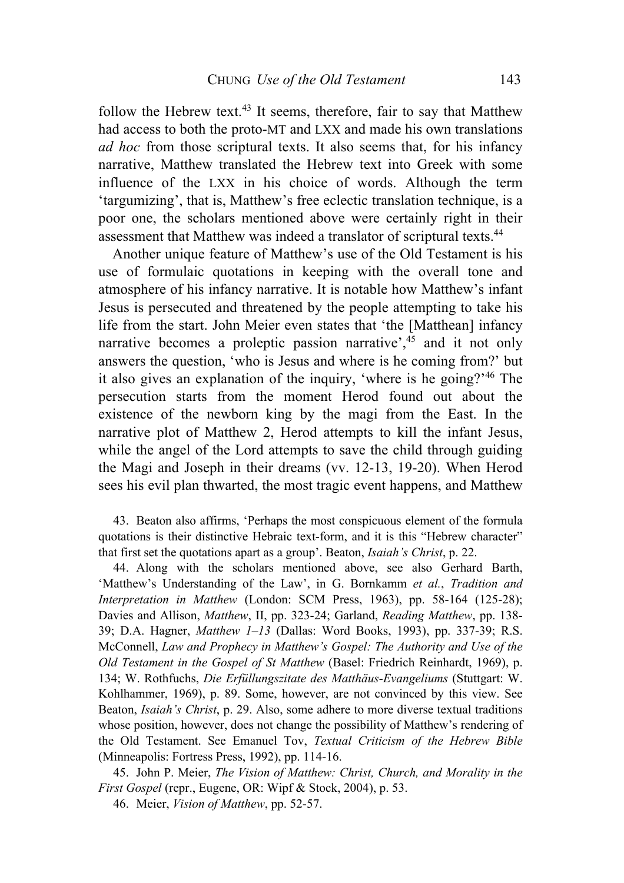follow the Hebrew text.43 It seems, therefore, fair to say that Matthew had access to both the proto-MT and LXX and made his own translations *ad hoc* from those scriptural texts. It also seems that, for his infancy narrative, Matthew translated the Hebrew text into Greek with some influence of the LXX in his choice of words. Although the term 'targumizing', that is, Matthew's free eclectic translation technique, is a poor one, the scholars mentioned above were certainly right in their assessment that Matthew was indeed a translator of scriptural texts.44

Another unique feature of Matthew's use of the Old Testament is his use of formulaic quotations in keeping with the overall tone and atmosphere of his infancy narrative. It is notable how Matthew's infant Jesus is persecuted and threatened by the people attempting to take his life from the start. John Meier even states that 'the [Matthean] infancy narrative becomes a proleptic passion narrative<sup>2,45</sup> and it not only answers the question, 'who is Jesus and where is he coming from?' but it also gives an explanation of the inquiry, 'where is he going?' <sup>46</sup> The persecution starts from the moment Herod found out about the existence of the newborn king by the magi from the East. In the narrative plot of Matthew 2, Herod attempts to kill the infant Jesus, while the angel of the Lord attempts to save the child through guiding the Magi and Joseph in their dreams (vv. 12-13, 19-20). When Herod sees his evil plan thwarted, the most tragic event happens, and Matthew

43. Beaton also affirms, 'Perhaps the most conspicuous element of the formula quotations is their distinctive Hebraic text-form, and it is this "Hebrew character" that first set the quotations apart as a group'. Beaton, *Isaiah's Christ*, p. 22.

44. Along with the scholars mentioned above, see also Gerhard Barth, 'Matthew's Understanding of the Law', in G. Bornkamm *et al.*, *Tradition and Interpretation in Matthew* (London: SCM Press, 1963), pp. 58-164 (125-28); Davies and Allison, *Matthew*, II, pp. 323-24; Garland, *Reading Matthew*, pp. 138- 39; D.A. Hagner, *Matthew 1–13* (Dallas: Word Books, 1993), pp. 337-39; R.S. McConnell, *Law and Prophecy in Matthew's Gospel: The Authority and Use of the Old Testament in the Gospel of St Matthew* (Basel: Friedrich Reinhardt, 1969), p. 134; W. Rothfuchs, *Die Erfüllungszitate des Matthäus-Evangeliums* (Stuttgart: W. Kohlhammer, 1969), p. 89. Some, however, are not convinced by this view. See Beaton, *Isaiah's Christ*, p. 29. Also, some adhere to more diverse textual traditions whose position, however, does not change the possibility of Matthew's rendering of the Old Testament. See Emanuel Tov, *Textual Criticism of the Hebrew Bible* (Minneapolis: Fortress Press, 1992), pp. 114-16.

45. John P. Meier, *The Vision of Matthew: Christ, Church, and Morality in the First Gospel* (repr., Eugene, OR: Wipf & Stock, 2004), p. 53.

46. Meier, *Vision of Matthew*, pp. 52-57.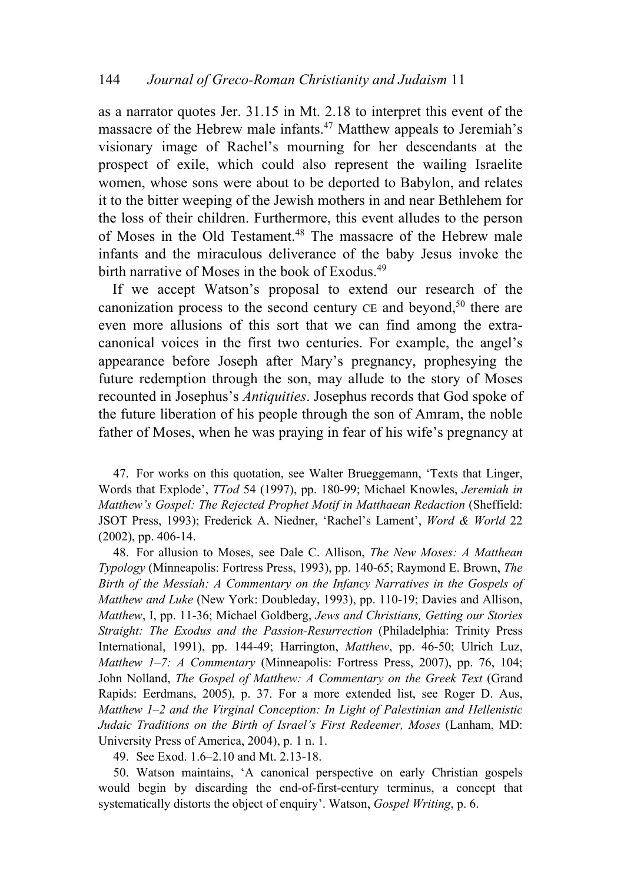as a narrator quotes Jer. 31.15 in Mt. 2.18 to interpret this event of the massacre of the Hebrew male infants.<sup>47</sup> Matthew appeals to Jeremiah's visionary image of Rachel's mourning for her descendants at the prospect of exile, which could also represent the wailing Israelite women, whose sons were about to be deported to Babylon, and relates it to the bitter weeping of the Jewish mothers in and near Bethlehem for the loss of their children. Furthermore, this event alludes to the person of Moses in the Old Testament.<sup>48</sup> The massacre of the Hebrew male infants and the miraculous deliverance of the baby Jesus invoke the birth narrative of Moses in the book of Exodus.<sup>49</sup>

If we accept Watson's proposal to extend our research of the canonization process to the second century  $CE$  and beyond,<sup>50</sup> there are even more allusions of this sort that we can find among the extracanonical voices in the first two centuries. For example, the angel's appearance before Joseph after Mary's pregnancy, prophesying the future redemption through the son, may allude to the story of Moses recounted in Josephus's *Antiquities*. Josephus records that God spoke of the future liberation of his people through the son of Amram, the noble father of Moses, when he was praying in fear of his wife's pregnancy at

47. For works on this quotation, see Walter Brueggemann, 'Texts that Linger, Words that Explode', *TTod* 54 (1997), pp. 180-99; Michael Knowles, *Jeremiah in Matthew's Gospel: The Rejected Prophet Motif in Matthaean Redaction* (Sheffield: JSOT Press, 1993); Frederick A. Niedner, 'Rachel's Lament', *Word & World* 22 (2002), pp. 406-14.

48. For allusion to Moses, see Dale C. Allison, *The New Moses: A Matthean Typology* (Minneapolis: Fortress Press, 1993), pp. 140-65; Raymond E. Brown, *The Birth of the Messiah: A Commentary on the Infancy Narratives in the Gospels of Matthew and Luke* (New York: Doubleday, 1993), pp. 110-19; Davies and Allison, *Matthew*, I, pp. 11-36; Michael Goldberg, *Jews and Christians, Getting our Stories Straight: The Exodus and the Passion-Resurrection* (Philadelphia: Trinity Press International, 1991), pp. 144-49; Harrington, *Matthew*, pp. 46-50; Ulrich Luz, *Matthew 1–7: A Commentary* (Minneapolis: Fortress Press, 2007), pp. 76, 104; John Nolland, *The Gospel of Matthew: A Commentary on the Greek Text* (Grand Rapids: Eerdmans, 2005), p. 37. For a more extended list, see Roger D. Aus, *Matthew 1–2 and the Virginal Conception: In Light of Palestinian and Hellenistic Judaic Traditions on the Birth of Israel's First Redeemer, Moses* (Lanham, MD: University Press of America, 2004), p. 1 n. 1.

49. See Exod. 1.6–2.10 and Mt. 2.13-18.

50. Watson maintains, 'A canonical perspective on early Christian gospels would begin by discarding the end-of-first-century terminus, a concept that systematically distorts the object of enquiry'. Watson, *Gospel Writing*, p. 6.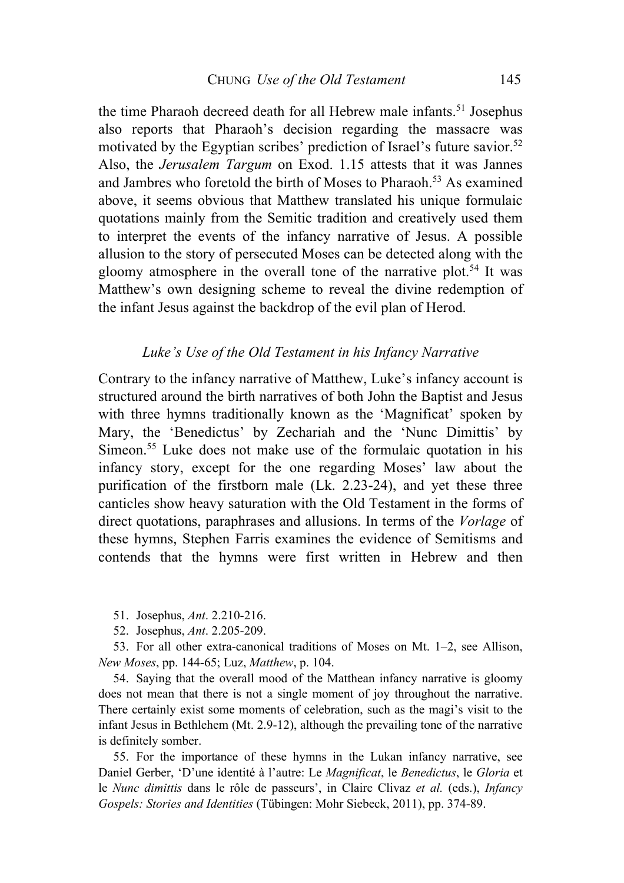the time Pharaoh decreed death for all Hebrew male infants.<sup>51</sup> Josephus also reports that Pharaoh's decision regarding the massacre was motivated by the Egyptian scribes' prediction of Israel's future savior. 52 Also, the *Jerusalem Targum* on Exod. 1.15 attests that it was Jannes and Jambres who foretold the birth of Moses to Pharaoh.<sup>53</sup> As examined above, it seems obvious that Matthew translated his unique formulaic quotations mainly from the Semitic tradition and creatively used them to interpret the events of the infancy narrative of Jesus. A possible allusion to the story of persecuted Moses can be detected along with the gloomy atmosphere in the overall tone of the narrative plot.<sup>54</sup> It was Matthew's own designing scheme to reveal the divine redemption of the infant Jesus against the backdrop of the evil plan of Herod.

## *Luke's Use of the Old Testament in his Infancy Narrative*

Contrary to the infancy narrative of Matthew, Luke's infancy account is structured around the birth narratives of both John the Baptist and Jesus with three hymns traditionally known as the 'Magnificat' spoken by Mary, the 'Benedictus' by Zechariah and the 'Nunc Dimittis' by Simeon.<sup>55</sup> Luke does not make use of the formulaic quotation in his infancy story, except for the one regarding Moses' law about the purification of the firstborn male (Lk. 2.23-24), and yet these three canticles show heavy saturation with the Old Testament in the forms of direct quotations, paraphrases and allusions. In terms of the *Vorlage* of these hymns, Stephen Farris examines the evidence of Semitisms and contends that the hymns were first written in Hebrew and then

- 51. Josephus, *Ant*. 2.210-216.
- 52. Josephus, *Ant*. 2.205-209.

53. For all other extra-canonical traditions of Moses on Mt. 1–2, see Allison, *New Moses*, pp. 144-65; Luz, *Matthew*, p. 104.

54. Saying that the overall mood of the Matthean infancy narrative is gloomy does not mean that there is not a single moment of joy throughout the narrative. There certainly exist some moments of celebration, such as the magi's visit to the infant Jesus in Bethlehem (Mt. 2.9-12), although the prevailing tone of the narrative is definitely somber.

55. For the importance of these hymns in the Lukan infancy narrative, see Daniel Gerber, 'D'une identité à l'autre: Le *Magnificat*, le *Benedictus*, le *Gloria* et le *Nunc dimittis* dans le rôle de passeurs', in Claire Clivaz *et al.* (eds.), *Infancy Gospels: Stories and Identities* (Tübingen: Mohr Siebeck, 2011), pp. 374-89.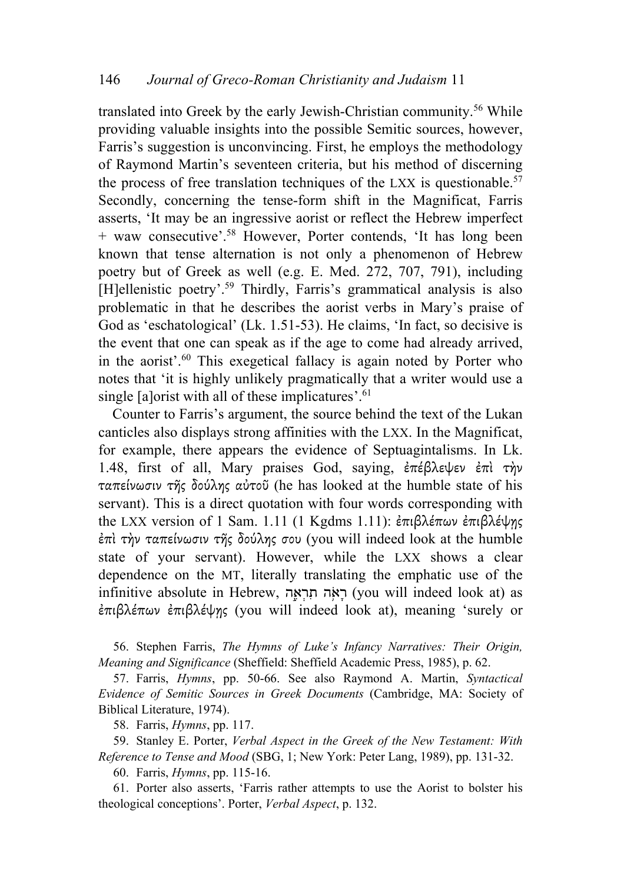translated into Greek by the early Jewish-Christian community. <sup>56</sup> While providing valuable insights into the possible Semitic sources, however, Farris's suggestion is unconvincing. First, he employs the methodology of Raymond Martin's seventeen criteria, but his method of discerning the process of free translation techniques of the LXX is questionable.<sup>57</sup> Secondly, concerning the tense-form shift in the Magnificat, Farris asserts, 'It may be an ingressive aorist or reflect the Hebrew imperfect + waw consecutive'. <sup>58</sup> However, Porter contends, 'It has long been known that tense alternation is not only a phenomenon of Hebrew poetry but of Greek as well (e.g. E. Med. 272, 707, 791), including [H]ellenistic poetry'.<sup>59</sup> Thirdly, Farris's grammatical analysis is also problematic in that he describes the aorist verbs in Mary's praise of God as 'eschatological' (Lk. 1.51-53). He claims, 'In fact, so decisive is the event that one can speak as if the age to come had already arrived, in the aorist'. <sup>60</sup> This exegetical fallacy is again noted by Porter who notes that 'it is highly unlikely pragmatically that a writer would use a single [a]orist with all of these implicatures'. 61

Counter to Farris's argument, the source behind the text of the Lukan canticles also displays strong affinities with the LXX. In the Magnificat, for example, there appears the evidence of Septuagintalisms. In Lk. 1.48, first of all, Mary praises God, saying, ἐπέβλεψεν ἐπὶ τὴν ταπείνωσιν τῆς δούλης αὐτοῦ (he has looked at the humble state of his servant). This is a direct quotation with four words corresponding with the LXX version of 1 Sam. 1.11 (1 Kgdms 1.11): ἐπιβλέπων ἐπιβλέψης ἐπὶ τὴν ταπείνωσιν τῆς δούλης σου (you will indeed look at the humble state of your servant). However, while the LXX shows a clear dependence on the MT, literally translating the emphatic use of the infinitive absolute in Hebrew, רְאָה תְרָאָה (you will indeed look at) as ἐπιβλέπων ἐπιβλέψῃς (you will indeed look at), meaning 'surely or

56. Stephen Farris, *The Hymns of Luke's Infancy Narratives: Their Origin, Meaning and Significance* (Sheffield: Sheffield Academic Press, 1985), p. 62.

57. Farris, *Hymns*, pp. 50-66. See also Raymond A. Martin, *Syntactical Evidence of Semitic Sources in Greek Documents* (Cambridge, MA: Society of Biblical Literature, 1974).

58. Farris, *Hymns*, pp. 117.

59. Stanley E. Porter, *Verbal Aspect in the Greek of the New Testament: With Reference to Tense and Mood* (SBG, 1; New York: Peter Lang, 1989), pp. 131-32.

60. Farris, *Hymns*, pp. 115-16.

61. Porter also asserts, 'Farris rather attempts to use the Aorist to bolster his theological conceptions'. Porter, *Verbal Aspect*, p. 132.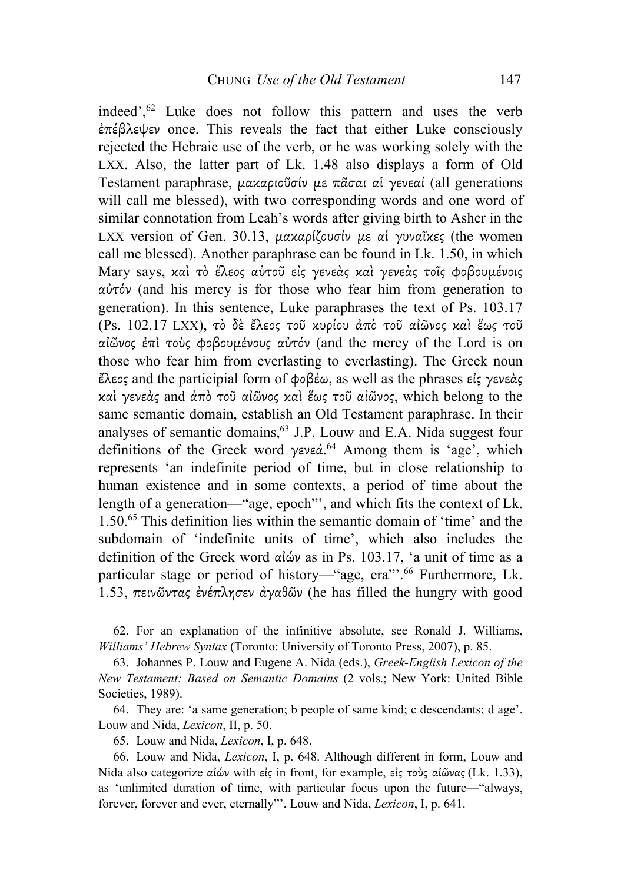indeed', <sup>62</sup> Luke does not follow this pattern and uses the verb ἐπέβλεψεν once. This reveals the fact that either Luke consciously rejected the Hebraic use of the verb, or he was working solely with the LXX. Also, the latter part of Lk. 1.48 also displays a form of Old Testament paraphrase, µακαριοῦσίν µε πᾶσαι αἱ γενεαί (all generations will call me blessed), with two corresponding words and one word of similar connotation from Leah's words after giving birth to Asher in the LXX version of Gen. 30.13, μακαρίζουσίν με αί γυναΐκες (the women call me blessed). Another paraphrase can be found in Lk. 1.50, in which Mary says, καὶ τὸ ἔλεος αὐτοῦ εἰς γενεὰς καὶ γενεὰς τοῖς φοβουµένοις αὐτόν (and his mercy is for those who fear him from generation to generation). In this sentence, Luke paraphrases the text of Ps. 103.17 (Ps. 102.17 LXX), τὸ δὲ ἔλεος τοῦ κυρίου ἀπὸ τοῦ αἰῶνος καὶ ἕως τοῦ αἰῶνος ἐπὶ τοὺς φοβουµένους αὐτόν (and the mercy of the Lord is on those who fear him from everlasting to everlasting). The Greek noun ἔλεος and the participial form of φοβέω, as well as the phrases εἰς γενεὰς καὶ γενεὰς and ἀπὸ τοῦ αἰῶνος καὶ ἕως τοῦ αἰῶνος, which belong to the same semantic domain, establish an Old Testament paraphrase. In their analyses of semantic domains,  $63$  J.P. Louw and E.A. Nida suggest four definitions of the Greek word γενεά.<sup>64</sup> Among them is 'age', which represents 'an indefinite period of time, but in close relationship to human existence and in some contexts, a period of time about the length of a generation—"age, epoch"', and which fits the context of Lk. 1.50.65 This definition lies within the semantic domain of 'time' and the subdomain of 'indefinite units of time', which also includes the definition of the Greek word αἰών as in Ps. 103.17, 'a unit of time as a particular stage or period of history—"age, era"<sup>66</sup> Furthermore, Lk. 1.53, πεινῶντας ἐνέπλησεν ἀγαθῶν (he has filled the hungry with good

62. For an explanation of the infinitive absolute, see Ronald J. Williams, *Williams' Hebrew Syntax* (Toronto: University of Toronto Press, 2007), p. 85.

63. Johannes P. Louw and Eugene A. Nida (eds.), *Greek-English Lexicon of the New Testament: Based on Semantic Domains* (2 vols.; New York: United Bible Societies, 1989).

64. They are: 'a same generation; b people of same kind; c descendants; d age'. Louw and Nida, *Lexicon*, II, p. 50.

65. Louw and Nida, *Lexicon*, I, p. 648.

66. Louw and Nida, *Lexicon*, I, p. 648. Although different in form, Louw and Nida also categorize αἰών with εἰς in front, for example, εἰς τοὺς αἰῶνας (Lk. 1.33), as 'unlimited duration of time, with particular focus upon the future—"always, forever, forever and ever, eternally"'. Louw and Nida, *Lexicon*, I, p. 641.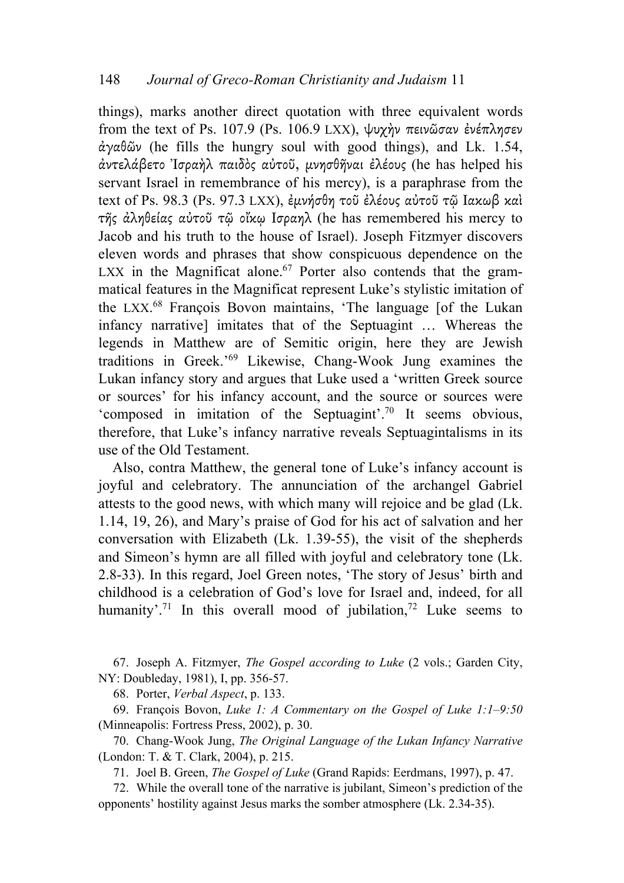things), marks another direct quotation with three equivalent words from the text of Ps. 107.9 (Ps. 106.9 LXX), ψυχὴν πεινῶσαν ἐνέπλησεν ἀγαθῶν (he fills the hungry soul with good things), and Lk. 1.54, ἀντελάβετο Ἰσραὴλ παιδὸς αὐτοῦ, µνησθῆναι ἐλέους (he has helped his servant Israel in remembrance of his mercy), is a paraphrase from the text of Ps. 98.3 (Ps. 97.3 LXX), ἐµνήσθη τοῦ ἐλέους αὐτοῦ τῷ Ιακωβ καὶ τῆς ἀληθείας αὐτοῦ τῷ οἴκῳ Ισραηλ (he has remembered his mercy to Jacob and his truth to the house of Israel). Joseph Fitzmyer discovers eleven words and phrases that show conspicuous dependence on the LXX in the Magnificat alone.<sup>67</sup> Porter also contends that the grammatical features in the Magnificat represent Luke's stylistic imitation of the LXX. <sup>68</sup> François Bovon maintains, 'The language [of the Lukan infancy narrative] imitates that of the Septuagint … Whereas the legends in Matthew are of Semitic origin, here they are Jewish traditions in Greek.' <sup>69</sup> Likewise, Chang-Wook Jung examines the Lukan infancy story and argues that Luke used a 'written Greek source or sources' for his infancy account, and the source or sources were 'composed in imitation of the Septuagint'. <sup>70</sup> It seems obvious, therefore, that Luke's infancy narrative reveals Septuagintalisms in its use of the Old Testament.

Also, contra Matthew, the general tone of Luke's infancy account is joyful and celebratory. The annunciation of the archangel Gabriel attests to the good news, with which many will rejoice and be glad (Lk. 1.14, 19, 26), and Mary's praise of God for his act of salvation and her conversation with Elizabeth (Lk. 1.39-55), the visit of the shepherds and Simeon's hymn are all filled with joyful and celebratory tone (Lk. 2.8-33). In this regard, Joel Green notes, 'The story of Jesus' birth and childhood is a celebration of God's love for Israel and, indeed, for all humanity<sup>'. 71</sup> In this overall mood of jubilation,<sup>72</sup> Luke seems to

67. Joseph A. Fitzmyer, *The Gospel according to Luke* (2 vols.; Garden City, NY: Doubleday, 1981), I, pp. 356-57.

68. Porter, *Verbal Aspect*, p. 133.

69. François Bovon, *Luke 1: A Commentary on the Gospel of Luke 1:1–9:50* (Minneapolis: Fortress Press, 2002), p. 30.

70. Chang-Wook Jung, *The Original Language of the Lukan Infancy Narrative* (London: T. & T. Clark, 2004), p. 215.

71. Joel B. Green, *The Gospel of Luke* (Grand Rapids: Eerdmans, 1997), p. 47.

72. While the overall tone of the narrative is jubilant, Simeon's prediction of the opponents' hostility against Jesus marks the somber atmosphere (Lk. 2.34-35).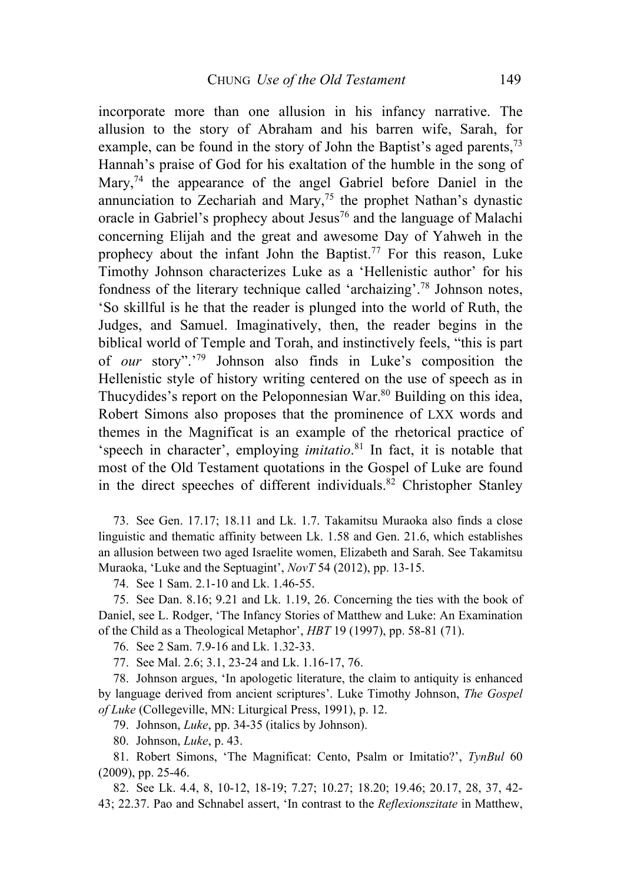incorporate more than one allusion in his infancy narrative. The allusion to the story of Abraham and his barren wife, Sarah, for example, can be found in the story of John the Baptist's aged parents,<sup>73</sup> Hannah's praise of God for his exaltation of the humble in the song of Mary,<sup>74</sup> the appearance of the angel Gabriel before Daniel in the annunciation to Zechariah and Mary,<sup>75</sup> the prophet Nathan's dynastic oracle in Gabriel's prophecy about Jesus<sup>76</sup> and the language of Malachi concerning Elijah and the great and awesome Day of Yahweh in the prophecy about the infant John the Baptist. <sup>77</sup> For this reason, Luke Timothy Johnson characterizes Luke as a 'Hellenistic author' for his fondness of the literary technique called 'archaizing'. <sup>78</sup> Johnson notes, 'So skillful is he that the reader is plunged into the world of Ruth, the Judges, and Samuel. Imaginatively, then, the reader begins in the biblical world of Temple and Torah, and instinctively feels, "this is part of *our* story".' <sup>79</sup> Johnson also finds in Luke's composition the Hellenistic style of history writing centered on the use of speech as in Thucydides's report on the Peloponnesian War.<sup>80</sup> Building on this idea, Robert Simons also proposes that the prominence of LXX words and themes in the Magnificat is an example of the rhetorical practice of 'speech in character', employing *imitatio*. <sup>81</sup> In fact, it is notable that most of the Old Testament quotations in the Gospel of Luke are found in the direct speeches of different individuals.82 Christopher Stanley

73. See Gen. 17.17; 18.11 and Lk. 1.7. Takamitsu Muraoka also finds a close linguistic and thematic affinity between Lk. 1.58 and Gen. 21.6, which establishes an allusion between two aged Israelite women, Elizabeth and Sarah. See Takamitsu Muraoka, 'Luke and the Septuagint', *NovT* 54 (2012), pp. 13-15.

74. See 1 Sam. 2.1-10 and Lk. 1.46-55.

75. See Dan. 8.16; 9.21 and Lk. 1.19, 26. Concerning the ties with the book of Daniel, see L. Rodger, 'The Infancy Stories of Matthew and Luke: An Examination of the Child as a Theological Metaphor', *HBT* 19 (1997), pp. 58-81 (71).

76. See 2 Sam. 7.9-16 and Lk. 1.32-33.

77. See Mal. 2.6; 3.1, 23-24 and Lk. 1.16-17, 76.

78. Johnson argues, 'In apologetic literature, the claim to antiquity is enhanced by language derived from ancient scriptures'. Luke Timothy Johnson, *The Gospel of Luke* (Collegeville, MN: Liturgical Press, 1991), p. 12.

79. Johnson, *Luke*, pp. 34-35 (italics by Johnson).

80. Johnson, *Luke*, p. 43.

81. Robert Simons, 'The Magnificat: Cento, Psalm or Imitatio?', *TynBul* 60 (2009), pp. 25-46.

82. See Lk. 4.4, 8, 10-12, 18-19; 7.27; 10.27; 18.20; 19.46; 20.17, 28, 37, 42- 43; 22.37. Pao and Schnabel assert, 'In contrast to the *Reflexionszitate* in Matthew,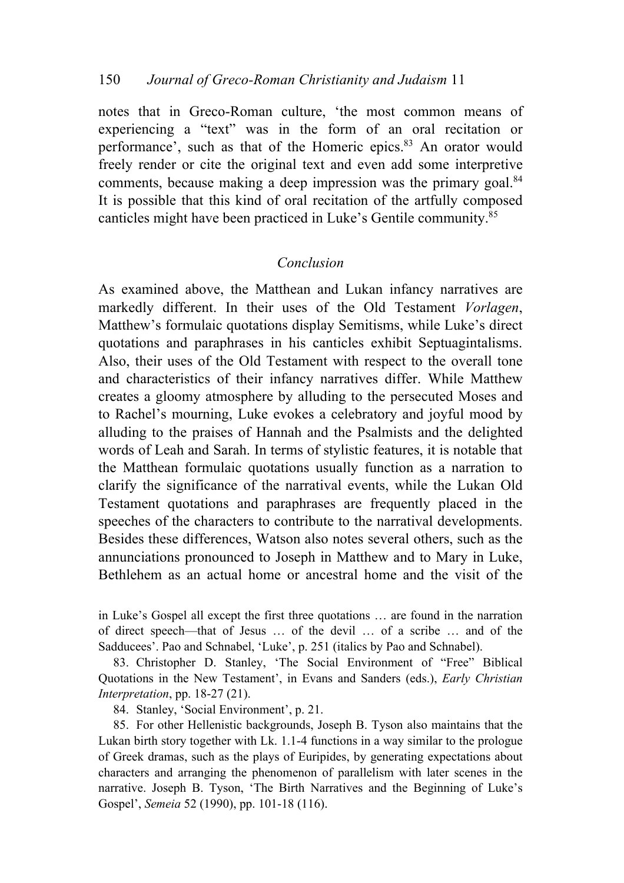notes that in Greco-Roman culture, 'the most common means of experiencing a "text" was in the form of an oral recitation or performance', such as that of the Homeric epics.<sup>83</sup> An orator would freely render or cite the original text and even add some interpretive comments, because making a deep impression was the primary goal.<sup>84</sup> It is possible that this kind of oral recitation of the artfully composed canticles might have been practiced in Luke's Gentile community.85

## *Conclusion*

As examined above, the Matthean and Lukan infancy narratives are markedly different. In their uses of the Old Testament *Vorlagen*, Matthew's formulaic quotations display Semitisms, while Luke's direct quotations and paraphrases in his canticles exhibit Septuagintalisms. Also, their uses of the Old Testament with respect to the overall tone and characteristics of their infancy narratives differ. While Matthew creates a gloomy atmosphere by alluding to the persecuted Moses and to Rachel's mourning, Luke evokes a celebratory and joyful mood by alluding to the praises of Hannah and the Psalmists and the delighted words of Leah and Sarah. In terms of stylistic features, it is notable that the Matthean formulaic quotations usually function as a narration to clarify the significance of the narratival events, while the Lukan Old Testament quotations and paraphrases are frequently placed in the speeches of the characters to contribute to the narratival developments. Besides these differences, Watson also notes several others, such as the annunciations pronounced to Joseph in Matthew and to Mary in Luke, Bethlehem as an actual home or ancestral home and the visit of the

in Luke's Gospel all except the first three quotations … are found in the narration of direct speech—that of Jesus … of the devil … of a scribe … and of the Sadducees'. Pao and Schnabel, 'Luke', p. 251 (italics by Pao and Schnabel).

83. Christopher D. Stanley, 'The Social Environment of "Free" Biblical Quotations in the New Testament', in Evans and Sanders (eds.), *Early Christian Interpretation*, pp. 18-27 (21).

84. Stanley, 'Social Environment', p. 21.

85. For other Hellenistic backgrounds, Joseph B. Tyson also maintains that the Lukan birth story together with Lk. 1.1-4 functions in a way similar to the prologue of Greek dramas, such as the plays of Euripides, by generating expectations about characters and arranging the phenomenon of parallelism with later scenes in the narrative. Joseph B. Tyson, 'The Birth Narratives and the Beginning of Luke's Gospel', *Semeia* 52 (1990), pp. 101-18 (116).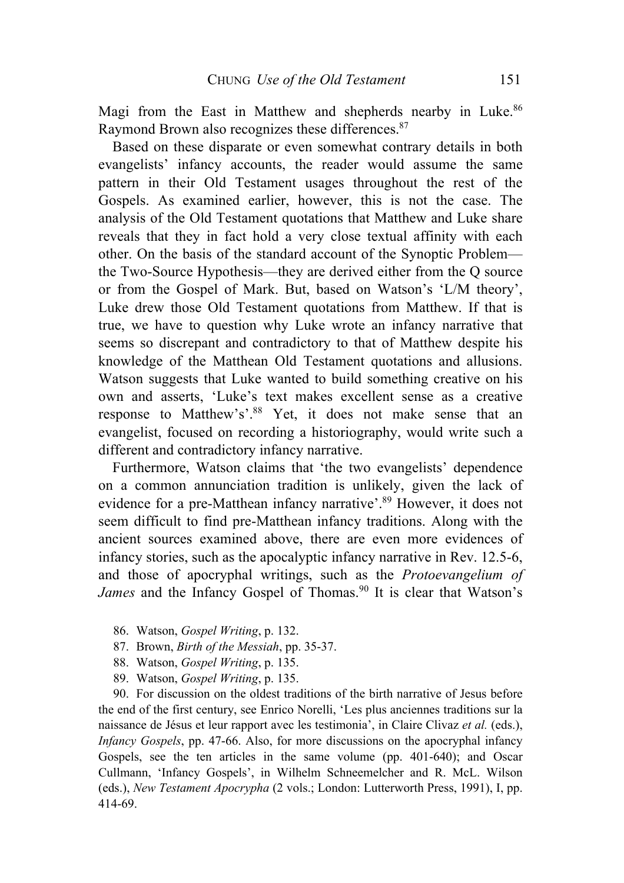Magi from the East in Matthew and shepherds nearby in Luke.<sup>86</sup> Raymond Brown also recognizes these differences.<sup>87</sup>

Based on these disparate or even somewhat contrary details in both evangelists' infancy accounts, the reader would assume the same pattern in their Old Testament usages throughout the rest of the Gospels. As examined earlier, however, this is not the case. The analysis of the Old Testament quotations that Matthew and Luke share reveals that they in fact hold a very close textual affinity with each other. On the basis of the standard account of the Synoptic Problem the Two-Source Hypothesis—they are derived either from the Q source or from the Gospel of Mark. But, based on Watson's 'L/M theory', Luke drew those Old Testament quotations from Matthew. If that is true, we have to question why Luke wrote an infancy narrative that seems so discrepant and contradictory to that of Matthew despite his knowledge of the Matthean Old Testament quotations and allusions. Watson suggests that Luke wanted to build something creative on his own and asserts, 'Luke's text makes excellent sense as a creative response to Matthew's'.<sup>88</sup> Yet, it does not make sense that an evangelist, focused on recording a historiography, would write such a different and contradictory infancy narrative.

Furthermore, Watson claims that 'the two evangelists' dependence on a common annunciation tradition is unlikely, given the lack of evidence for a pre-Matthean infancy narrative'. <sup>89</sup> However, it does not seem difficult to find pre-Matthean infancy traditions. Along with the ancient sources examined above, there are even more evidences of infancy stories, such as the apocalyptic infancy narrative in Rev. 12.5-6, and those of apocryphal writings, such as the *Protoevangelium of James* and the Infancy Gospel of Thomas.<sup>90</sup> It is clear that Watson's

- 86. Watson, *Gospel Writing*, p. 132.
- 87. Brown, *Birth of the Messiah*, pp. 35-37.
- 88. Watson, *Gospel Writing*, p. 135.
- 89. Watson, *Gospel Writing*, p. 135.

90. For discussion on the oldest traditions of the birth narrative of Jesus before the end of the first century, see Enrico Norelli, 'Les plus anciennes traditions sur la naissance de Jésus et leur rapport avec les testimonia', in Claire Clivaz *et al.* (eds.), *Infancy Gospels*, pp. 47-66. Also, for more discussions on the apocryphal infancy Gospels, see the ten articles in the same volume (pp. 401-640); and Oscar Cullmann, 'Infancy Gospels', in Wilhelm Schneemelcher and R. McL. Wilson (eds.), *New Testament Apocrypha* (2 vols.; London: Lutterworth Press, 1991), I, pp. 414-69.